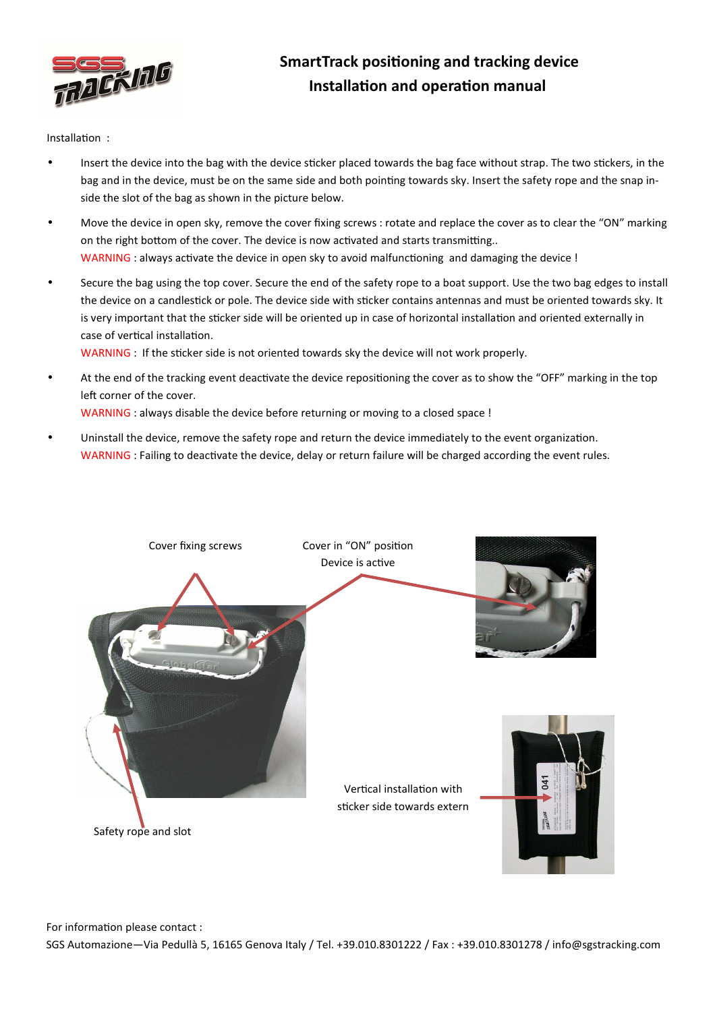

## SmartTrack positioning and tracking device Installation and operation manual

Installation :

- Insert the device into the bag with the device sticker placed towards the bag face without strap. The two stickers, in the bag and in the device, must be on the same side and both pointing towards sky. Insert the safety rope and the snap inside the slot of the bag as shown in the picture below.
- Move the device in open sky, remove the cover fixing screws : rotate and replace the cover as to clear the "ON" marking on the right bottom of the cover. The device is now activated and starts transmitting.. WARNING : always activate the device in open sky to avoid malfunctioning and damaging the device !
- Secure the bag using the top cover. Secure the end of the safety rope to a boat support. Use the two bag edges to install the device on a candlestick or pole. The device side with sticker contains antennas and must be oriented towards sky. It is very important that the sticker side will be oriented up in case of horizontal installation and oriented externally in case of vertical installation.

WARNING : If the sticker side is not oriented towards sky the device will not work properly.

- At the end of the tracking event deactivate the device repositioning the cover as to show the "OFF" marking in the top left corner of the cover. WARNING : always disable the device before returning or moving to a closed space !
- Uninstall the device, remove the safety rope and return the device immediately to the event organization. WARNING : Failing to deactivate the device, delay or return failure will be charged according the event rules.